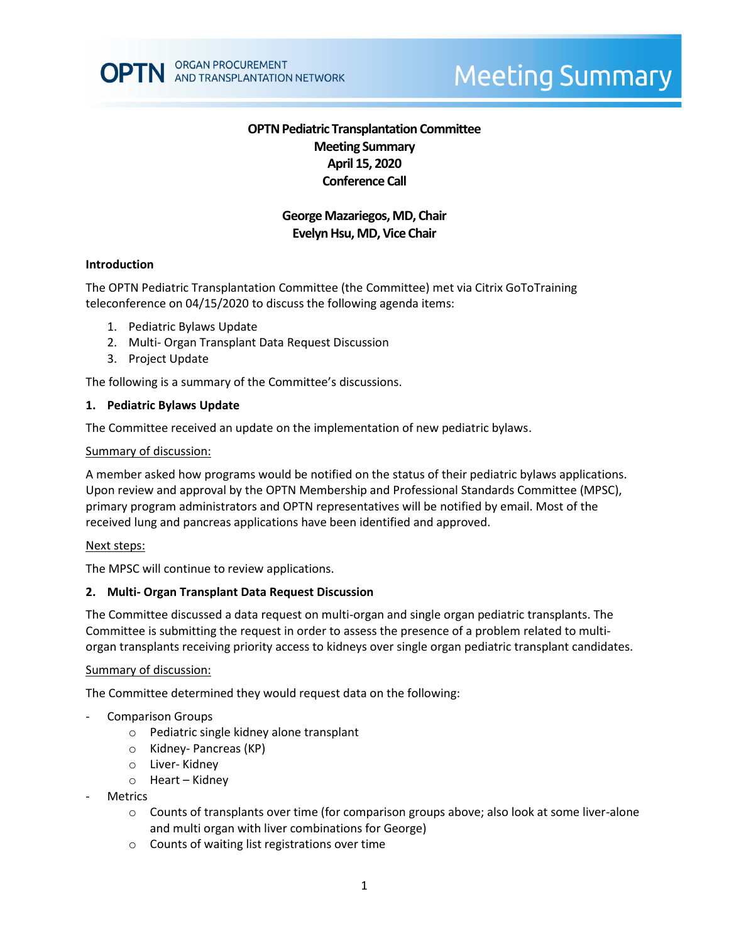# **OPTN Pediatric Transplantation Committee Meeting Summary April 15, 2020 Conference Call**

# **George Mazariegos, MD, Chair Evelyn Hsu, MD, Vice Chair**

### **Introduction**

The OPTN Pediatric Transplantation Committee (the Committee) met via Citrix GoToTraining teleconference on 04/15/2020 to discuss the following agenda items:

- 1. Pediatric Bylaws Update
- 2. Multi- Organ Transplant Data Request Discussion
- 3. Project Update

The following is a summary of the Committee's discussions.

#### **1. Pediatric Bylaws Update**

The Committee received an update on the implementation of new pediatric bylaws.

#### Summary of discussion:

A member asked how programs would be notified on the status of their pediatric bylaws applications. Upon review and approval by the OPTN Membership and Professional Standards Committee (MPSC), primary program administrators and OPTN representatives will be notified by email. Most of the received lung and pancreas applications have been identified and approved.

#### Next steps:

The MPSC will continue to review applications.

### **2. Multi- Organ Transplant Data Request Discussion**

The Committee discussed a data request on multi-organ and single organ pediatric transplants. The Committee is submitting the request in order to assess the presence of a problem related to multiorgan transplants receiving priority access to kidneys over single organ pediatric transplant candidates.

#### Summary of discussion:

The Committee determined they would request data on the following:

- Comparison Groups
	- o Pediatric single kidney alone transplant
	- o Kidney- Pancreas (KP)
	- o Liver- Kidney
	- o Heart Kidney
- **Metrics** 
	- $\circ$  Counts of transplants over time (for comparison groups above; also look at some liver-alone and multi organ with liver combinations for George)
	- o Counts of waiting list registrations over time